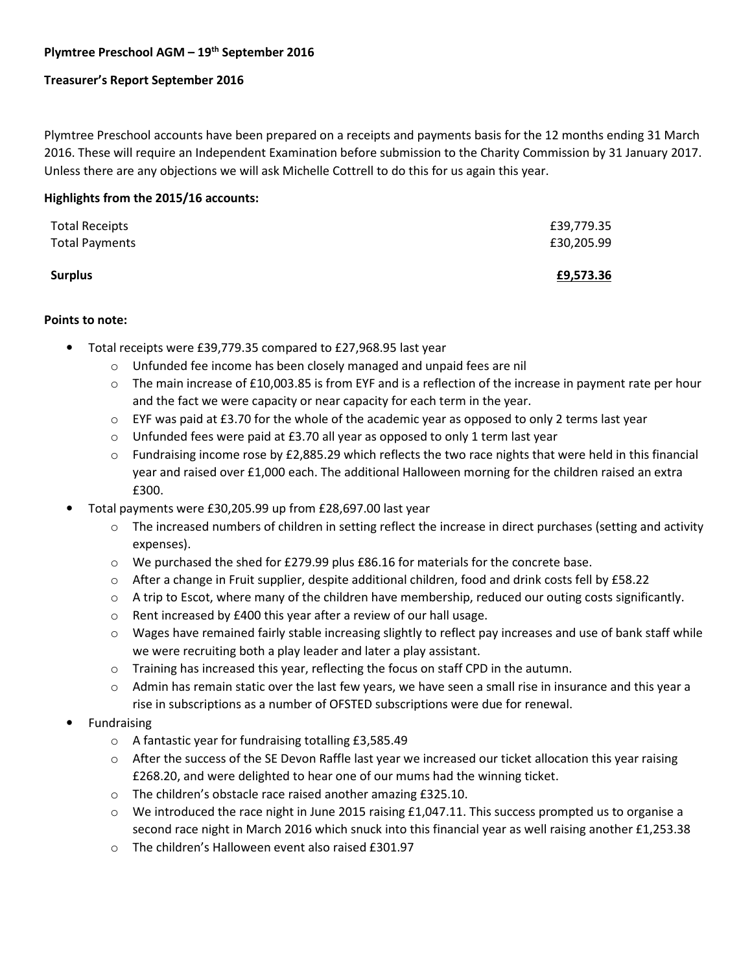# **Plymtree Preschool AGM – 19th September 2016**

## **Treasurer's Report September 2016**

Plymtree Preschool accounts have been prepared on a receipts and payments basis for the 12 months ending 31 March 2016. These will require an Independent Examination before submission to the Charity Commission by 31 January 2017. Unless there are any objections we will ask Michelle Cottrell to do this for us again this year.

## **Highlights from the 2015/16 accounts:**

| Surplus               | £9,573.36  |
|-----------------------|------------|
| <b>Total Payments</b> | £30,205.99 |
| Total Receipts        | £39,779.35 |

## **Points to note:**

- Total receipts were £39,779.35 compared to £27,968.95 last year
	- o Unfunded fee income has been closely managed and unpaid fees are nil
	- $\circ$  The main increase of £10,003.85 is from EYF and is a reflection of the increase in payment rate per hour and the fact we were capacity or near capacity for each term in the year.
	- $\circ$  EYF was paid at £3.70 for the whole of the academic year as opposed to only 2 terms last year
	- $\circ$  Unfunded fees were paid at £3.70 all year as opposed to only 1 term last year
	- $\circ$  Fundraising income rose by £2,885.29 which reflects the two race nights that were held in this financial year and raised over £1,000 each. The additional Halloween morning for the children raised an extra £300.
- Total payments were £30,205.99 up from £28,697.00 last year
	- o The increased numbers of children in setting reflect the increase in direct purchases (setting and activity expenses).
	- $\circ$  We purchased the shed for £279.99 plus £86.16 for materials for the concrete base.
	- o After a change in Fruit supplier, despite additional children, food and drink costs fell by £58.22
	- $\circ$  A trip to Escot, where many of the children have membership, reduced our outing costs significantly.
	- o Rent increased by £400 this year after a review of our hall usage.
	- $\circ$  Wages have remained fairly stable increasing slightly to reflect pay increases and use of bank staff while we were recruiting both a play leader and later a play assistant.
	- $\circ$  Training has increased this year, reflecting the focus on staff CPD in the autumn.
	- $\circ$  Admin has remain static over the last few years, we have seen a small rise in insurance and this year a rise in subscriptions as a number of OFSTED subscriptions were due for renewal.
- **Fundraising** 
	- o A fantastic year for fundraising totalling £3,585.49
	- $\circ$  After the success of the SE Devon Raffle last year we increased our ticket allocation this year raising £268.20, and were delighted to hear one of our mums had the winning ticket.
	- o The children's obstacle race raised another amazing £325.10.
	- $\circ$  We introduced the race night in June 2015 raising £1,047.11. This success prompted us to organise a second race night in March 2016 which snuck into this financial year as well raising another £1,253.38
	- o The children's Halloween event also raised £301.97